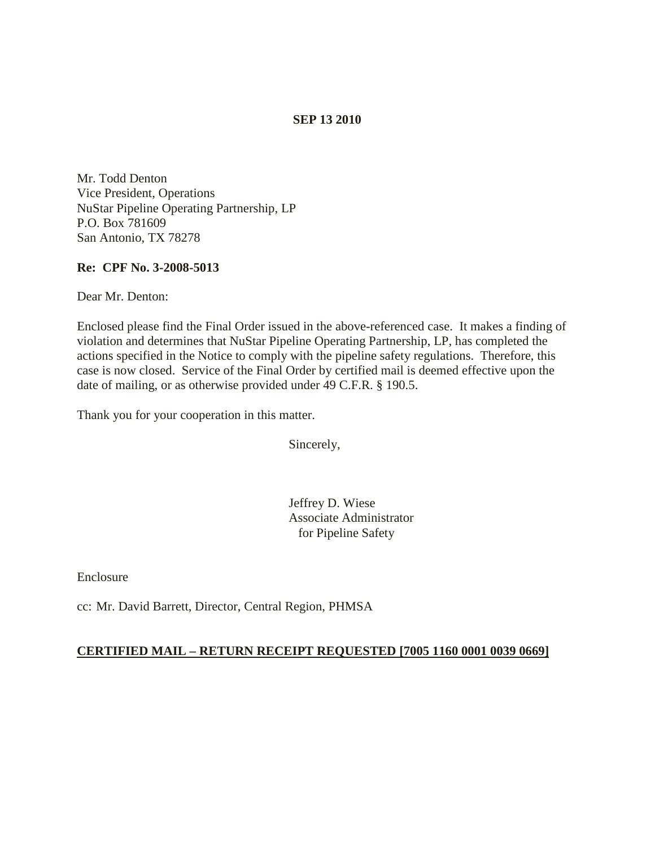## **SEP 13 2010**

Mr. Todd Denton Vice President, Operations NuStar Pipeline Operating Partnership, LP P.O. Box 781609 San Antonio, TX 78278

### **Re: CPF No. 3-2008-5013**

Dear Mr. Denton:

Enclosed please find the Final Order issued in the above-referenced case. It makes a finding of violation and determines that NuStar Pipeline Operating Partnership, LP, has completed the actions specified in the Notice to comply with the pipeline safety regulations. Therefore, this case is now closed. Service of the Final Order by certified mail is deemed effective upon the date of mailing, or as otherwise provided under 49 C.F.R. § 190.5.

Thank you for your cooperation in this matter.

Sincerely,

Jeffrey D. Wiese Associate Administrator for Pipeline Safety

Enclosure

cc: Mr. David Barrett, Director, Central Region, PHMSA

### **CERTIFIED MAIL – RETURN RECEIPT REQUESTED [7005 1160 0001 0039 0669]**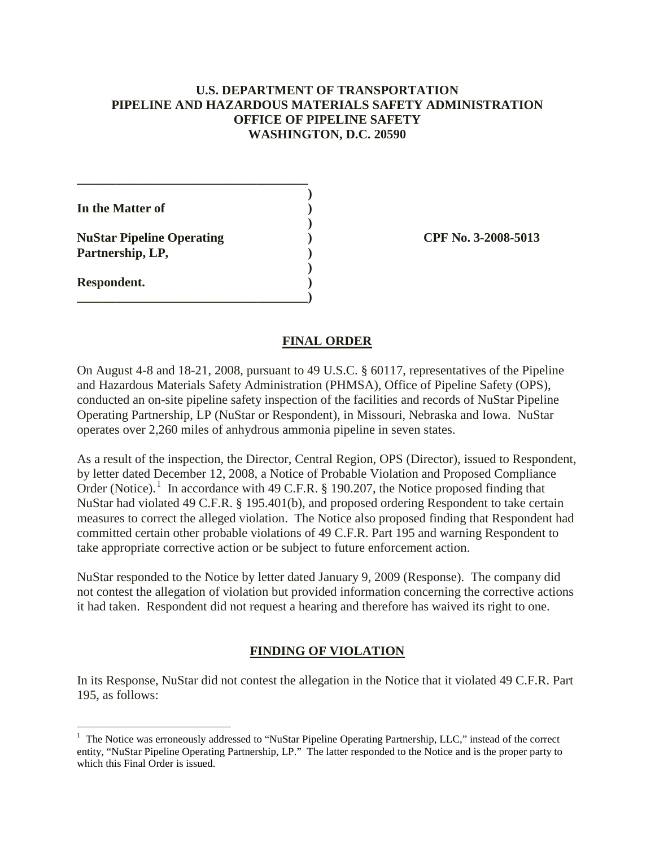## **U.S. DEPARTMENT OF TRANSPORTATION PIPELINE AND HAZARDOUS MATERIALS SAFETY ADMINISTRATION OFFICE OF PIPELINE SAFETY WASHINGTON, D.C. 20590**

**)**

**)**

**)**

**In the Matter of )**

**NuStar Pipeline Operating ) CPF No. 3-2008-5013 Partnership, LP, )**

**\_\_\_\_\_\_\_\_\_\_\_\_\_\_\_\_\_\_\_\_\_\_\_\_\_\_\_\_\_\_\_\_\_\_\_\_**

**Respondent. ) \_\_\_\_\_\_\_\_\_\_\_\_\_\_\_\_\_\_\_\_\_\_\_\_\_\_\_\_\_\_\_\_\_\_\_\_)**

### **FINAL ORDER**

On August 4-8 and 18-21, 2008, pursuant to 49 U.S.C. § 60117, representatives of the Pipeline and Hazardous Materials Safety Administration (PHMSA), Office of Pipeline Safety (OPS), conducted an on-site pipeline safety inspection of the facilities and records of NuStar Pipeline Operating Partnership, LP (NuStar or Respondent), in Missouri, Nebraska and Iowa. NuStar operates over 2,260 miles of anhydrous ammonia pipeline in seven states.

As a result of the inspection, the Director, Central Region, OPS (Director), issued to Respondent, by letter dated December 12, 2008, a Notice of Probable Violation and Proposed Compliance Order (Notice).<sup>[1](#page-1-0)</sup> In accordance with 49 C.F.R. § 190.207, the Notice proposed finding that NuStar had violated 49 C.F.R. § 195.401(b), and proposed ordering Respondent to take certain measures to correct the alleged violation. The Notice also proposed finding that Respondent had committed certain other probable violations of 49 C.F.R. Part 195 and warning Respondent to take appropriate corrective action or be subject to future enforcement action.

NuStar responded to the Notice by letter dated January 9, 2009 (Response). The company did not contest the allegation of violation but provided information concerning the corrective actions it had taken. Respondent did not request a hearing and therefore has waived its right to one.

# **FINDING OF VIOLATION**

In its Response, NuStar did not contest the allegation in the Notice that it violated 49 C.F.R. Part 195, as follows:

<span id="page-1-0"></span> $\frac{1}{1}$  $<sup>1</sup>$  The Notice was erroneously addressed to "NuStar Pipeline Operating Partnership, LLC," instead of the correct</sup> entity, "NuStar Pipeline Operating Partnership, LP." The latter responded to the Notice and is the proper party to which this Final Order is issued.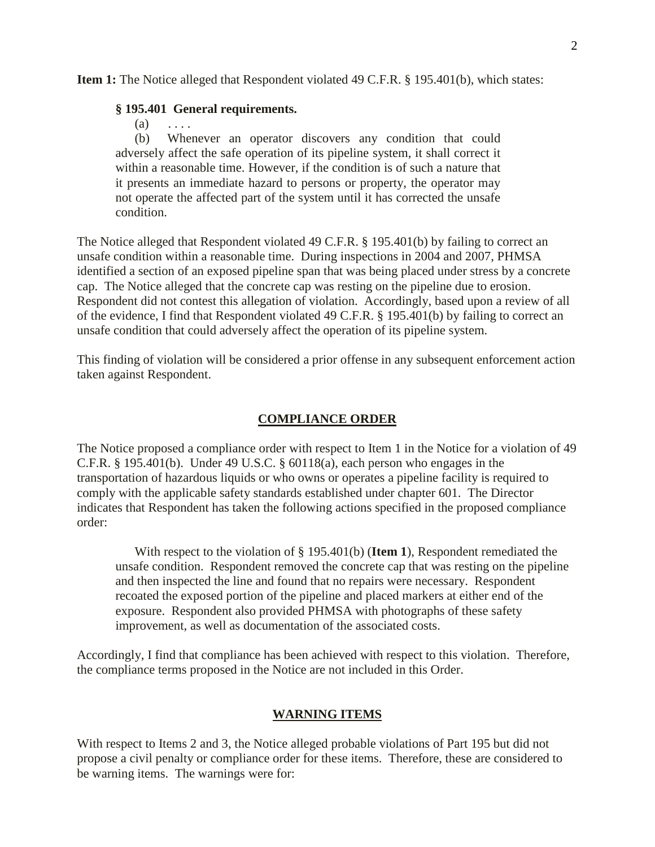**Item 1:** The Notice alleged that Respondent violated 49 C.F.R. § 195.401(b), which states:

#### **§ 195.401 General requirements.**

 $(a) \quad \ldots$ 

(b) Whenever an operator discovers any condition that could adversely affect the safe operation of its pipeline system, it shall correct it within a reasonable time. However, if the condition is of such a nature that it presents an immediate hazard to persons or property, the operator may not operate the affected part of the system until it has corrected the unsafe condition.

The Notice alleged that Respondent violated 49 C.F.R. § 195.401(b) by failing to correct an unsafe condition within a reasonable time. During inspections in 2004 and 2007, PHMSA identified a section of an exposed pipeline span that was being placed under stress by a concrete cap. The Notice alleged that the concrete cap was resting on the pipeline due to erosion. Respondent did not contest this allegation of violation. Accordingly, based upon a review of all of the evidence, I find that Respondent violated 49 C.F.R. § 195.401(b) by failing to correct an unsafe condition that could adversely affect the operation of its pipeline system.

This finding of violation will be considered a prior offense in any subsequent enforcement action taken against Respondent.

### **COMPLIANCE ORDER**

The Notice proposed a compliance order with respect to Item 1 in the Notice for a violation of 49 C.F.R. § 195.401(b). Under 49 U.S.C. § 60118(a), each person who engages in the transportation of hazardous liquids or who owns or operates a pipeline facility is required to comply with the applicable safety standards established under chapter 601. The Director indicates that Respondent has taken the following actions specified in the proposed compliance order:

With respect to the violation of § 195.401(b) (**Item 1**), Respondent remediated the unsafe condition. Respondent removed the concrete cap that was resting on the pipeline and then inspected the line and found that no repairs were necessary. Respondent recoated the exposed portion of the pipeline and placed markers at either end of the exposure. Respondent also provided PHMSA with photographs of these safety improvement, as well as documentation of the associated costs.

Accordingly, I find that compliance has been achieved with respect to this violation. Therefore, the compliance terms proposed in the Notice are not included in this Order.

#### **WARNING ITEMS**

With respect to Items 2 and 3, the Notice alleged probable violations of Part 195 but did not propose a civil penalty or compliance order for these items. Therefore, these are considered to be warning items. The warnings were for: